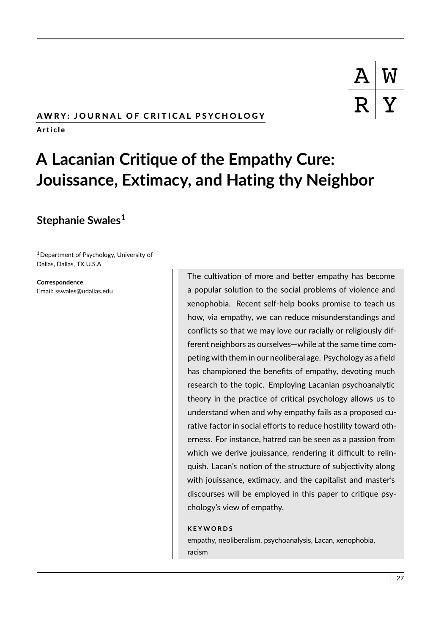## AWRY: JOURNAL OF CRITICAL PSYCHOLOGY

A r t i c l e

# **A Lacanian Critique of the Empathy Cure: Jouissance, Extimacy, and Hating thy Neighbor**

# **Stephanie Swales<sup>1</sup>**

<sup>1</sup>Department of Psychology, University of Dallas, Dallas, TX U.S.A

**Correspondence** Email: sswales@udallas.edu

The cultivation of more and better empathy has become a popular solution to the social problems of violence and xenophobia. Recent self-help books promise to teach us how, via empathy, we can reduce misunderstandings and conflicts so that we may love our racially or religiously different neighbors as ourselves—while at the same time competing with them in our neoliberal age. Psychology as a field has championed the benefits of empathy, devoting much research to the topic. Employing Lacanian psychoanalytic theory in the practice of critical psychology allows us to understand when and why empathy fails as a proposed curative factor in social efforts to reduce hostility toward otherness. For instance, hatred can be seen as a passion from which we derive jouissance, rendering it difficult to relinquish. Lacan's notion of the structure of subjectivity along with jouissance, extimacy, and the capitalist and master's discourses will be employed in this paper to critique psychology's view of empathy.

#### **K E Y W O R D S**

empathy, neoliberalism, psychoanalysis, Lacan, xenophobia, racism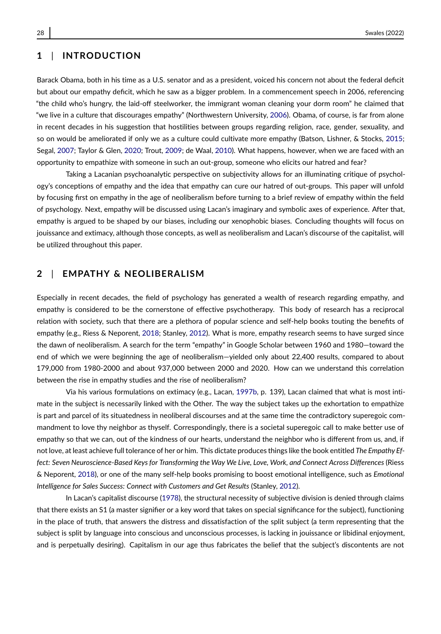## **1** | **INTRODUCTION**

Barack Obama, both in his time as a U.S. senator and as a president, voiced his concern not about the federal deficit but about our empathy deficit, which he saw as a bigger problem. In a commencement speech in 2006, referencing "the child who's hungry, the laid-off steelworker, the immigrant woman cleaning your dorm room" he claimed that "we live in a culture that discourages empathy" (Northwestern University, [2006\)](#page-13-0). Obama, of course, is far from alone in recent decades in his suggestion that hostilities between groups regarding religion, race, gender, sexuality, and so on would be ameliorated if only we as a culture could cultivate more empathy (Batson, Lishner, & Stocks, [2015;](#page-12-0) Segal, [2007;](#page-14-0) Taylor & Glen, [2020;](#page-14-1) Trout, [2009;](#page-14-2) de Waal, [2010\)](#page-12-1). What happens, however, when we are faced with an opportunity to empathize with someone in such an out-group, someone who elicits our hatred and fear?

Taking a Lacanian psychoanalytic perspective on subjectivity allows for an illuminating critique of psychology's conceptions of empathy and the idea that empathy can cure our hatred of out-groups. This paper will unfold by focusing first on empathy in the age of neoliberalism before turning to a brief review of empathy within the field of psychology. Next, empathy will be discussed using Lacan's imaginary and symbolic axes of experience. After that, empathy is argued to be shaped by our biases, including our xenophobic biases. Concluding thoughts will focus on jouissance and extimacy, although those concepts, as well as neoliberalism and Lacan's discourse of the capitalist, will be utilized throughout this paper.

#### **2** | **EMPATHY & NEOLIBERALISM**

Especially in recent decades, the field of psychology has generated a wealth of research regarding empathy, and empathy is considered to be the cornerstone of effective psychotherapy. This body of research has a reciprocal relation with society, such that there are a plethora of popular science and self-help books touting the benefits of empathy (e.g., Riess & Neporent, [2018;](#page-13-1) Stanley, [2012\)](#page-14-3). What is more, empathy research seems to have surged since the dawn of neoliberalism. A search for the term "empathy" in Google Scholar between 1960 and 1980—toward the end of which we were beginning the age of neoliberalism—yielded only about 22,400 results, compared to about 179,000 from 1980-2000 and about 937,000 between 2000 and 2020. How can we understand this correlation between the rise in empathy studies and the rise of neoliberalism?

Via his various formulations on extimacy (e.g., Lacan, [1997b,](#page-13-2) p. 139), Lacan claimed that what is most intimate in the subject is necessarily linked with the Other. The way the subject takes up the exhortation to empathize is part and parcel of its situatedness in neoliberal discourses and at the same time the contradictory superegoic commandment to love thy neighbor as thyself. Correspondingly, there is a societal superegoic call to make better use of empathy so that we can, out of the kindness of our hearts, understand the neighbor who is different from us, and, if not love, at least achieve full tolerance of her or him. This dictate produces things like the book entitled *The Empathy Effect: Seven Neuroscience-Based Keys for Transforming the Way We Live, Love, Work, and Connect Across Differences* (Riess & Neporent, [2018\)](#page-13-1), or one of the many self-help books promising to boost emotional intelligence, such as *Emotional Intelligence for Sales Success: Connect with Customers and Get Results* (Stanley, [2012\)](#page-14-3).

In Lacan's capitalist discourse [\(1978\)](#page-13-3), the structural necessity of subjective division is denied through claims that there exists an S1 (a master signifier or a key word that takes on special significance for the subject), functioning in the place of truth, that answers the distress and dissatisfaction of the split subject (a term representing that the subject is split by language into conscious and unconscious processes, is lacking in jouissance or libidinal enjoyment, and is perpetually desiring). Capitalism in our age thus fabricates the belief that the subject's discontents are not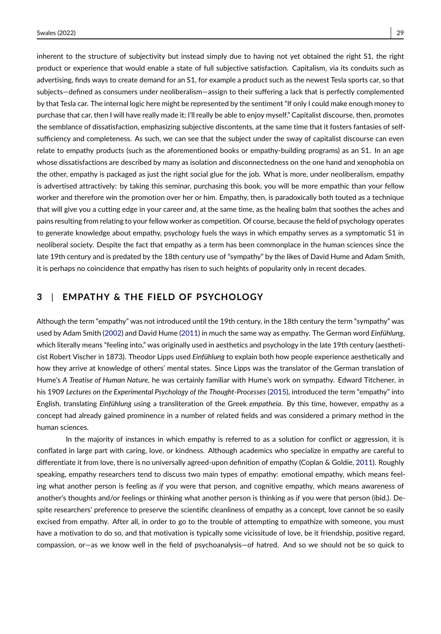inherent to the structure of subjectivity but instead simply due to having not yet obtained the right S1, the right product or experience that would enable a state of full subjective satisfaction. Capitalism, via its conduits such as advertising, finds ways to create demand for an S1, for example a product such as the newest Tesla sports car, so that subjects—defined as consumers under neoliberalism—assign to their suffering a lack that is perfectly complemented by that Tesla car. The internal logic here might be represented by the sentiment "If only I could make enough money to purchase that car, then I will have really made it; I'll really be able to enjoy myself." Capitalist discourse, then, promotes the semblance of dissatisfaction, emphasizing subjective discontents, at the same time that it fosters fantasies of selfsufficiency and completeness. As such, we can see that the subject under the sway of capitalist discourse can even relate to empathy products (such as the aforementioned books or empathy-building programs) as an S1. In an age whose dissatisfactions are described by many as isolation and disconnectedness on the one hand and xenophobia on the other, empathy is packaged as just the right social glue for the job. What is more, under neoliberalism, empathy is advertised attractively: by taking this seminar, purchasing this book, you will be more empathic than your fellow worker and therefore win the promotion over her or him. Empathy, then, is paradoxically both touted as a technique that will give you a cutting edge in your career *and*, at the same time, as the healing balm that soothes the aches and pains resulting from relating to your fellow worker as competition. Of course, because the field of psychology operates to generate knowledge about empathy, psychology fuels the ways in which empathy serves as a symptomatic S1 in neoliberal society. Despite the fact that empathy as a term has been commonplace in the human sciences since the late 19th century and is predated by the 18th century use of "sympathy" by the likes of David Hume and Adam Smith, it is perhaps no coincidence that empathy has risen to such heights of popularity only in recent decades.

### **3** | **EMPATHY & THE FIELD OF PSYCHOLOGY**

Although the term "empathy" was not introduced until the 19th century, in the 18th century the term "sympathy" was used by Adam Smith [\(2002\)](#page-14-4) and David Hume [\(2011\)](#page-13-4) in much the same way as empathy. The German word *Einfühlung*, which literally means "feeling into," was originally used in aesthetics and psychology in the late 19th century (aestheticist Robert Vischer in 1873). Theodor Lipps used *Einfühlung* to explain both how people experience aesthetically and how they arrive at knowledge of others' mental states. Since Lipps was the translator of the German translation of Hume's *A Treatise of Human Nature*, he was certainly familiar with Hume's work on sympathy. Edward Titchener, in his 1909 *Lectures on the Experimental Psychology of the Thought-Processes* [\(2015\)](#page-14-5), introduced the term "empathy" into English, translating *Einfühlung* using a transliteration of the Greek *empatheia*. By this time, however, empathy as a concept had already gained prominence in a number of related fields and was considered a primary method in the human sciences.

In the majority of instances in which empathy is referred to as a solution for conflict or aggression, it is conflated in large part with caring, love, or kindness. Although academics who specialize in empathy are careful to differentiate it from love, there is no universally agreed-upon definition of empathy (Coplan & Goldie, [2011\)](#page-12-2). Roughly speaking, empathy researchers tend to discuss two main types of empathy: emotional empathy, which means feeling what another person is feeling as *if* you were that person, and cognitive empathy, which means awareness of another's thoughts and/or feelings or thinking what another person is thinking as *if* you were that person (ibid.). Despite researchers' preference to preserve the scientific cleanliness of empathy as a concept, love cannot be so easily excised from empathy. After all, in order to go to the trouble of attempting to empathize with someone, you must have a motivation to do so, and that motivation is typically some vicissitude of love, be it friendship, positive regard, compassion, or—as we know well in the field of psychoanalysis—of hatred. And so we should not be so quick to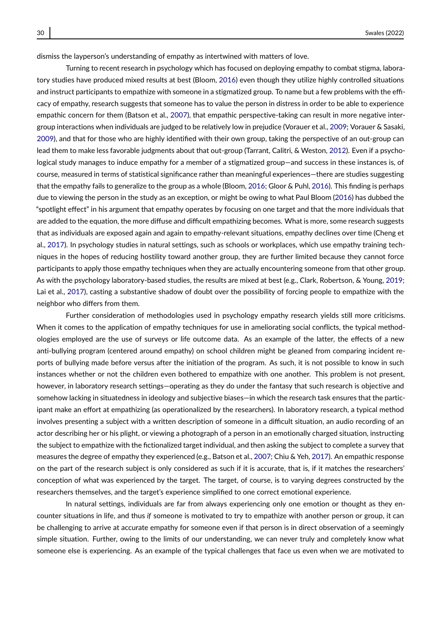dismiss the layperson's understanding of empathy as intertwined with matters of love.

Turning to recent research in psychology which has focused on deploying empathy to combat stigma, laboratory studies have produced mixed results at best (Bloom, [2016\)](#page-12-3) even though they utilize highly controlled situations and instruct participants to empathize with someone in a stigmatized group. To name but a few problems with the efficacy of empathy, research suggests that someone has to value the person in distress in order to be able to experience empathic concern for them (Batson et al., [2007\)](#page-12-4), that empathic perspective-taking can result in more negative intergroup interactions when individuals are judged to be relatively low in prejudice (Vorauer et al., [2009;](#page-14-6) Vorauer & Sasaki, [2009\)](#page-14-7), and that for those who are highly identified with their own group, taking the perspective of an out-group can lead them to make less favorable judgments about that out-group (Tarrant, Calitri, & Weston, [2012\)](#page-14-8). Even if a psychological study manages to induce empathy for a member of a stigmatized group—and success in these instances is, of course, measured in terms of statistical significance rather than meaningful experiences—there are studies suggesting that the empathy fails to generalize to the group as a whole (Bloom, [2016;](#page-12-3) Gloor & Puhl, [2016\)](#page-13-5). This finding is perhaps due to viewing the person in the study as an exception, or might be owing to what Paul Bloom [\(2016\)](#page-12-3) has dubbed the "spotlight effect" in his argument that empathy operates by focusing on one target and that the more individuals that are added to the equation, the more diffuse and difficult empathizing becomes. What is more, some research suggests that as individuals are exposed again and again to empathy-relevant situations, empathy declines over time (Cheng et al., [2017\)](#page-12-5). In psychology studies in natural settings, such as schools or workplaces, which use empathy training techniques in the hopes of reducing hostility toward another group, they are further limited because they cannot force participants to apply those empathy techniques when they are actually encountering someone from that other group. As with the psychology laboratory-based studies, the results are mixed at best (e.g., Clark, Robertson, & Young, [2019;](#page-12-6) Lai et al., [2017\)](#page-13-6), casting a substantive shadow of doubt over the possibility of forcing people to empathize with the neighbor who differs from them.

Further consideration of methodologies used in psychology empathy research yields still more criticisms. When it comes to the application of empathy techniques for use in ameliorating social conflicts, the typical methodologies employed are the use of surveys or life outcome data. As an example of the latter, the effects of a new anti-bullying program (centered around empathy) on school children might be gleaned from comparing incident reports of bullying made before versus after the initiation of the program. As such, it is not possible to know in such instances whether or not the children even bothered to empathize with one another. This problem is not present, however, in laboratory research settings—operating as they do under the fantasy that such research is objective and somehow lacking in situatedness in ideology and subjective biases—in which the research task ensures that the participant make an effort at empathizing (as operationalized by the researchers). In laboratory research, a typical method involves presenting a subject with a written description of someone in a difficult situation, an audio recording of an actor describing her or his plight, or viewing a photograph of a person in an emotionally charged situation, instructing the subject to empathize with the fictionalized target individual, and then asking the subject to complete a survey that measures the degree of empathy they experienced (e.g., Batson et al., [2007;](#page-12-4) Chiu & Yeh, [2017\)](#page-12-7). An empathic response on the part of the research subject is only considered as such if it is accurate, that is, if it matches the researchers' conception of what was experienced by the target. The target, of course, is to varying degrees constructed by the researchers themselves, and the target's experience simplified to one correct emotional experience.

In natural settings, individuals are far from always experiencing only one emotion or thought as they encounter situations in life, and thus *if* someone is motivated to try to empathize with another person or group, it can be challenging to arrive at accurate empathy for someone even if that person is in direct observation of a seemingly simple situation. Further, owing to the limits of our understanding, we can never truly and completely know what someone else is experiencing. As an example of the typical challenges that face us even when we are motivated to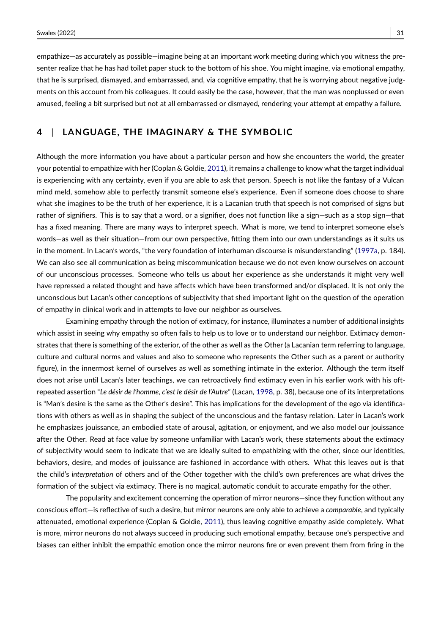empathize—as accurately as possible—imagine being at an important work meeting during which you witness the presenter realize that he has had toilet paper stuck to the bottom of his shoe. You might imagine, via emotional empathy, that he is surprised, dismayed, and embarrassed, and, via cognitive empathy, that he is worrying about negative judgments on this account from his colleagues. It could easily be the case, however, that the man was nonplussed or even amused, feeling a bit surprised but not at all embarrassed or dismayed, rendering your attempt at empathy a failure.

### **4** | **LANGUAGE, THE IMAGINARY & THE SYMBOLIC**

Although the more information you have about a particular person and how she encounters the world, the greater your potential to empathize with her (Coplan & Goldie, [2011\)](#page-12-2), it remains a challenge to know what the target individual is experiencing with any certainty, even if you are able to ask that person. Speech is not like the fantasy of a Vulcan mind meld, somehow able to perfectly transmit someone else's experience. Even if someone does choose to share what she imagines to be the truth of her experience, it is a Lacanian truth that speech is not comprised of signs but rather of signifiers. This is to say that a word, or a signifier, does not function like a sign—such as a stop sign—that has a fixed meaning. There are many ways to interpret speech. What is more, we tend to interpret someone else's words—as well as their situation—from our own perspective, fitting them into our own understandings as it suits us in the moment. In Lacan's words, "the very foundation of interhuman discourse is misunderstanding" [\(1997a,](#page-13-7) p. 184). We can also see all communication as being miscommunication because we do not even know ourselves on account of our unconscious processes. Someone who tells us about her experience as she understands it might very well have repressed a related thought and have affects which have been transformed and/or displaced. It is not only the unconscious but Lacan's other conceptions of subjectivity that shed important light on the question of the operation of empathy in clinical work and in attempts to love our neighbor as ourselves.

Examining empathy through the notion of extimacy, for instance, illuminates a number of additional insights which assist in seeing why empathy so often fails to help us to love or to understand our neighbor. Extimacy demonstrates that there is something of the exterior, of the other as well as the Other (a Lacanian term referring to language, culture and cultural norms and values and also to someone who represents the Other such as a parent or authority figure), in the innermost kernel of ourselves as well as something intimate in the exterior. Although the term itself does not arise until Lacan's later teachings, we can retroactively find extimacy even in his earlier work with his oftrepeated assertion "*Le désir de l'homme, c'est le désir de l'Autre*" (Lacan, [1998,](#page-13-8) p. 38), because one of its interpretations is "Man's desire is the same as the Other's desire". This has implications for the development of the ego via identifications with others as well as in shaping the subject of the unconscious and the fantasy relation. Later in Lacan's work he emphasizes jouissance, an embodied state of arousal, agitation, or enjoyment, and we also model our jouissance after the Other. Read at face value by someone unfamiliar with Lacan's work, these statements about the extimacy of subjectivity would seem to indicate that we are ideally suited to empathizing with the other, since our identities, behaviors, desire, and modes of jouissance are fashioned in accordance with others. What this leaves out is that the child's *interpretation* of others and of the Other together with the child's own preferences are what drives the formation of the subject via extimacy. There is no magical, automatic conduit to accurate empathy for the other.

The popularity and excitement concerning the operation of mirror neurons—since they function without any conscious effort—is reflective of such a desire, but mirror neurons are only able to achieve a *comparable*, and typically attenuated, emotional experience (Coplan & Goldie, [2011\)](#page-12-2), thus leaving cognitive empathy aside completely. What is more, mirror neurons do not always succeed in producing such emotional empathy, because one's perspective and biases can either inhibit the empathic emotion once the mirror neurons fire or even prevent them from firing in the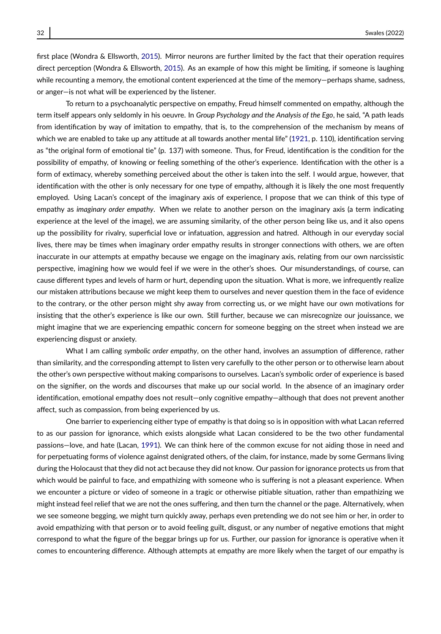first place (Wondra & Ellsworth, [2015\)](#page-14-9). Mirror neurons are further limited by the fact that their operation requires direct perception (Wondra & Ellsworth, [2015\)](#page-14-9). As an example of how this might be limiting, if someone is laughing while recounting a memory, the emotional content experienced at the time of the memory—perhaps shame, sadness, or anger—is not what will be experienced by the listener.

To return to a psychoanalytic perspective on empathy, Freud himself commented on empathy, although the term itself appears only seldomly in his oeuvre. In *Group Psychology and the Analysis of the Ego*, he said, "A path leads from identification by way of imitation to empathy, that is, to the comprehension of the mechanism by means of which we are enabled to take up any attitude at all towards another mental life" [\(1921,](#page-13-9) p. 110), identification serving as "the original form of emotional tie" (p. 137) with someone. Thus, for Freud, identification is the condition for the possibility of empathy, of knowing or feeling something of the other's experience. Identification with the other is a form of extimacy, whereby something perceived about the other is taken into the self. I would argue, however, that identification with the other is only necessary for one type of empathy, although it is likely the one most frequently employed. Using Lacan's concept of the imaginary axis of experience, I propose that we can think of this type of empathy as *imaginary order empathy*. When we relate to another person on the imaginary axis (a term indicating experience at the level of the image), we are assuming similarity, of the other person being like us, and it also opens up the possibility for rivalry, superficial love or infatuation, aggression and hatred. Although in our everyday social lives, there may be times when imaginary order empathy results in stronger connections with others, we are often inaccurate in our attempts at empathy because we engage on the imaginary axis, relating from our own narcissistic perspective, imagining how we would feel if we were in the other's shoes. Our misunderstandings, of course, can cause different types and levels of harm or hurt, depending upon the situation. What is more, we infrequently realize our mistaken attributions because we might keep them to ourselves and never question them in the face of evidence to the contrary, or the other person might shy away from correcting us, or we might have our own motivations for insisting that the other's experience is like our own. Still further, because we can misrecognize our jouissance, we might imagine that we are experiencing empathic concern for someone begging on the street when instead we are experiencing disgust or anxiety.

What I am calling *symbolic order empathy*, on the other hand, involves an assumption of difference, rather than similarity, and the corresponding attempt to listen very carefully to the other person or to otherwise learn about the other's own perspective without making comparisons to ourselves. Lacan's symbolic order of experience is based on the signifier, on the words and discourses that make up our social world. In the absence of an imaginary order identification, emotional empathy does not result—only cognitive empathy—although that does not prevent another affect, such as compassion, from being experienced by us.

One barrier to experiencing either type of empathy is that doing so is in opposition with what Lacan referred to as our passion for ignorance, which exists alongside what Lacan considered to be the two other fundamental passions—love, and hate (Lacan, [1991\)](#page-13-10). We can think here of the common excuse for not aiding those in need and for perpetuating forms of violence against denigrated others, of the claim, for instance, made by some Germans living during the Holocaust that they did not act because they did not know. Our passion for ignorance protects us from that which would be painful to face, and empathizing with someone who is suffering is not a pleasant experience. When we encounter a picture or video of someone in a tragic or otherwise pitiable situation, rather than empathizing we might instead feel relief that we are not the ones suffering, and then turn the channel or the page. Alternatively, when we see someone begging, we might turn quickly away, perhaps even pretending we do not see him or her, in order to avoid empathizing with that person or to avoid feeling guilt, disgust, or any number of negative emotions that might correspond to what the figure of the beggar brings up for us. Further, our passion for ignorance is operative when it comes to encountering difference. Although attempts at empathy are more likely when the target of our empathy is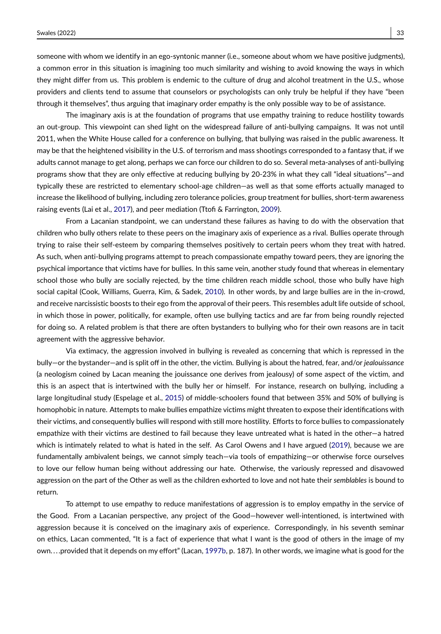someone with whom we identify in an ego-syntonic manner (i.e., someone about whom we have positive judgments), a common error in this situation is imagining too much similarity and wishing to avoid knowing the ways in which they might differ from us. This problem is endemic to the culture of drug and alcohol treatment in the U.S., whose providers and clients tend to assume that counselors or psychologists can only truly be helpful if they have "been through it themselves", thus arguing that imaginary order empathy is the only possible way to be of assistance.

The imaginary axis is at the foundation of programs that use empathy training to reduce hostility towards an out-group. This viewpoint can shed light on the widespread failure of anti-bullying campaigns. It was not until 2011, when the White House called for a conference on bullying, that bullying was raised in the public awareness. It may be that the heightened visibility in the U.S. of terrorism and mass shootings corresponded to a fantasy that, if we adults cannot manage to get along, perhaps we can force our children to do so. Several meta-analyses of anti-bullying programs show that they are only effective at reducing bullying by 20-23% in what they call "ideal situations"—and typically these are restricted to elementary school-age children—as well as that some efforts actually managed to increase the likelihood of bullying, including zero tolerance policies, group treatment for bullies, short-term awareness raising events (Lai et al., [2017\)](#page-13-6), and peer mediation (Ttofi & Farrington, [2009\)](#page-14-10).

From a Lacanian standpoint, we can understand these failures as having to do with the observation that children who bully others relate to these peers on the imaginary axis of experience as a rival. Bullies operate through trying to raise their self-esteem by comparing themselves positively to certain peers whom they treat with hatred. As such, when anti-bullying programs attempt to preach compassionate empathy toward peers, they are ignoring the psychical importance that victims have for bullies. In this same vein, another study found that whereas in elementary school those who bully are socially rejected, by the time children reach middle school, those who bully have high social capital (Cook, Williams, Guerra, Kim, & Sadek, [2010\)](#page-12-8). In other words, by and large bullies are in the in-crowd, and receive narcissistic boosts to their ego from the approval of their peers. This resembles adult life outside of school, in which those in power, politically, for example, often use bullying tactics and are far from being roundly rejected for doing so. A related problem is that there are often bystanders to bullying who for their own reasons are in tacit agreement with the aggressive behavior.

Via extimacy, the aggression involved in bullying is revealed as concerning that which is repressed in the bully—or the bystander—and is split off in the other, the victim. Bullying is about the hatred, fear, and/or *jealouissance* (a neologism coined by Lacan meaning the jouissance one derives from jealousy) of some aspect of the victim, and this is an aspect that is intertwined with the bully her or himself. For instance, research on bullying, including a large longitudinal study (Espelage et al., [2015\)](#page-12-9) of middle-schoolers found that between 35% and 50% of bullying is homophobic in nature. Attempts to make bullies empathize victims might threaten to expose their identifications with their victims, and consequently bullies will respond with still more hostility. Efforts to force bullies to compassionately empathize with their victims are destined to fail because they leave untreated what is hated in the other—a hatred which is intimately related to what is hated in the self. As Carol Owens and I have argued [\(2019\)](#page-14-11), because we are fundamentally ambivalent beings, we cannot simply teach—via tools of empathizing—or otherwise force ourselves to love our fellow human being without addressing our hate. Otherwise, the variously repressed and disavowed aggression on the part of the Other as well as the children exhorted to love and not hate their *semblables* is bound to return.

To attempt to use empathy to reduce manifestations of aggression is to employ empathy in the service of the Good. From a Lacanian perspective, any project of the Good—however well-intentioned, is intertwined with aggression because it is conceived on the imaginary axis of experience. Correspondingly, in his seventh seminar on ethics, Lacan commented, "It is a fact of experience that what I want is the good of others in the image of my own. . . .provided that it depends on my effort" (Lacan, [1997b,](#page-13-2) p. 187). In other words, we imagine what is good for the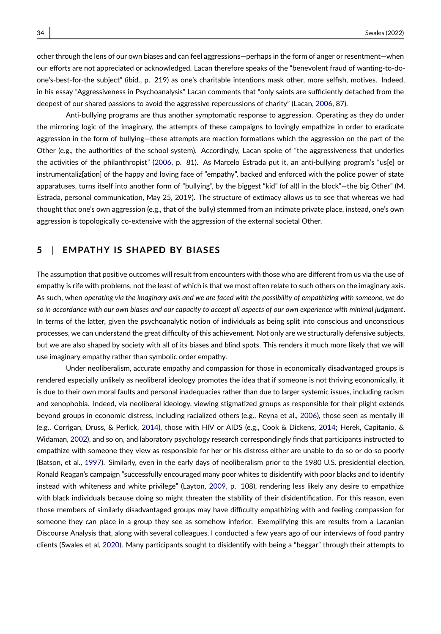other through the lens of our own biases and can feel aggressions—perhaps in the form of anger or resentment—when our efforts are not appreciated or acknowledged. Lacan therefore speaks of the "benevolent fraud of wanting-to-doone's-best-for-the subject" (ibid., p. 219) as one's charitable intentions mask other, more selfish, motives. Indeed, in his essay "Aggressiveness in Psychoanalysis" Lacan comments that "only saints are sufficiently detached from the deepest of our shared passions to avoid the aggressive repercussions of charity" (Lacan, [2006,](#page-13-11) 87).

Anti-bullying programs are thus another symptomatic response to aggression. Operating as they do under the mirroring logic of the imaginary, the attempts of these campaigns to lovingly empathize in order to eradicate aggression in the form of bullying—these attempts are reaction formations which the aggression on the part of the Other (e.g., the authorities of the school system). Accordingly, Lacan spoke of "the aggressiveness that underlies the activities of the philanthropist" [\(2006,](#page-13-11) p. 81). As Marcelo Estrada put it, an anti-bullying program's "us[e] or instrumentaliz[ation] of the happy and loving face of "empathy", backed and enforced with the police power of state apparatuses, turns itself into another form of "bullying", by the biggest "kid" (of al)l in the block"—the big Other" (M. Estrada, personal communication, May 25, 2019). The structure of extimacy allows us to see that whereas we had thought that one's own aggression (e.g., that of the bully) stemmed from an intimate private place, instead, one's own aggression is topologically co-extensive with the aggression of the external societal Other.

### **5** | **EMPATHY IS SHAPED BY BIASES**

The assumption that positive outcomes will result from encounters with those who are different from us via the use of empathy is rife with problems, not the least of which is that we most often relate to such others on the imaginary axis. As such, when *operating via the imaginary axis and we are faced with the possibility of empathizing with someone, we do so in accordance with our own biases and our capacity to accept all aspects of our own experience with minimal judgment*. In terms of the latter, given the psychoanalytic notion of individuals as being split into conscious and unconscious processes, we can understand the great difficulty of this achievement. Not only are we structurally defensive subjects, but we are also shaped by society with all of its biases and blind spots. This renders it much more likely that we will use imaginary empathy rather than symbolic order empathy.

Under neoliberalism, accurate empathy and compassion for those in economically disadvantaged groups is rendered especially unlikely as neoliberal ideology promotes the idea that if someone is not thriving economically, it is due to their own moral faults and personal inadequacies rather than due to larger systemic issues, including racism and xenophobia. Indeed, via neoliberal ideology, viewing stigmatized groups as responsible for their plight extends beyond groups in economic distress, including racialized others (e.g., Reyna et al., [2006\)](#page-13-12), those seen as mentally ill (e.g., Corrigan, Druss, & Perlick, [2014\)](#page-12-10), those with HIV or AIDS (e.g., Cook & Dickens, [2014;](#page-12-11) Herek, Capitanio, & Widaman, [2002\)](#page-13-13), and so on, and laboratory psychology research correspondingly finds that participants instructed to empathize with someone they view as responsible for her or his distress either are unable to do so or do so poorly (Batson, et al., [1997\)](#page-12-12). Similarly, even in the early days of neoliberalism prior to the 1980 U.S. presidential election, Ronald Reagan's campaign "successfully encouraged many poor whites to disidentify with poor blacks and to identify instead with whiteness and white privilege" (Layton, [2009,](#page-13-14) p. 108), rendering less likely any desire to empathize with black individuals because doing so might threaten the stability of their disidentification. For this reason, even those members of similarly disadvantaged groups may have difficulty empathizing with and feeling compassion for someone they can place in a group they see as somehow inferior. Exemplifying this are results from a Lacanian Discourse Analysis that, along with several colleagues, I conducted a few years ago of our interviews of food pantry clients (Swales et al, [2020\)](#page-14-12). Many participants sought to disidentify with being a "beggar" through their attempts to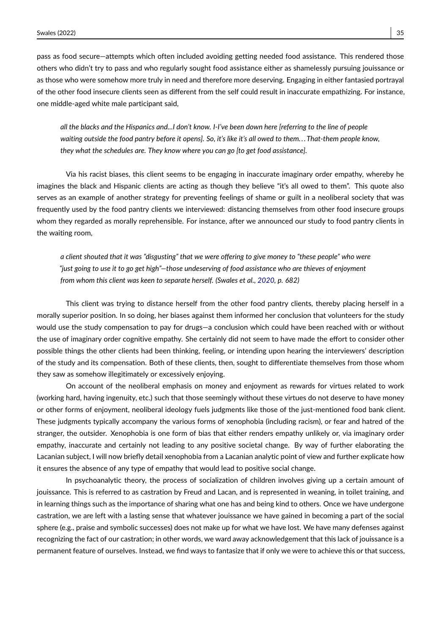pass as food secure—attempts which often included avoiding getting needed food assistance. This rendered those others who didn't try to pass and who regularly sought food assistance either as shamelessly pursuing jouissance or as those who were somehow more truly in need and therefore more deserving. Engaging in either fantasied portrayal of the other food insecure clients seen as different from the self could result in inaccurate empathizing. For instance, one middle-aged white male participant said,

*all the blacks and the Hispanics and...I don't know. I-I've been down here [referring to the line of people waiting outside the food pantry before it opens]. So, it's like it's all owed to them. . . That-them people know, they what the schedules are. They know where you can go [to get food assistance].*

Via his racist biases, this client seems to be engaging in inaccurate imaginary order empathy, whereby he imagines the black and Hispanic clients are acting as though they believe "it's all owed to them". This quote also serves as an example of another strategy for preventing feelings of shame or guilt in a neoliberal society that was frequently used by the food pantry clients we interviewed: distancing themselves from other food insecure groups whom they regarded as morally reprehensible. For instance, after we announced our study to food pantry clients in the waiting room,

*a client shouted that it was "disgusting" that we were offering to give money to "these people" who were "just going to use it to go get high"—those undeserving of food assistance who are thieves of enjoyment from whom this client was keen to separate herself. (Swales et al., [2020,](#page-14-12) p. 682)*

This client was trying to distance herself from the other food pantry clients, thereby placing herself in a morally superior position. In so doing, her biases against them informed her conclusion that volunteers for the study would use the study compensation to pay for drugs—a conclusion which could have been reached with or without the use of imaginary order cognitive empathy. She certainly did not seem to have made the effort to consider other possible things the other clients had been thinking, feeling, or intending upon hearing the interviewers' description of the study and its compensation. Both of these clients, then, sought to differentiate themselves from those whom they saw as somehow illegitimately or excessively enjoying.

On account of the neoliberal emphasis on money and enjoyment as rewards for virtues related to work (working hard, having ingenuity, etc.) such that those seemingly without these virtues do not deserve to have money or other forms of enjoyment, neoliberal ideology fuels judgments like those of the just-mentioned food bank client. These judgments typically accompany the various forms of xenophobia (including racism), or fear and hatred of the stranger, the outsider. Xenophobia is one form of bias that either renders empathy unlikely or, via imaginary order empathy, inaccurate and certainly not leading to any positive societal change. By way of further elaborating the Lacanian subject, I will now briefly detail xenophobia from a Lacanian analytic point of view and further explicate how it ensures the absence of any type of empathy that would lead to positive social change.

In psychoanalytic theory, the process of socialization of children involves giving up a certain amount of jouissance. This is referred to as castration by Freud and Lacan, and is represented in weaning, in toilet training, and in learning things such as the importance of sharing what one has and being kind to others. Once we have undergone castration, we are left with a lasting sense that whatever jouissance we have gained in becoming a part of the social sphere (e.g., praise and symbolic successes) does not make up for what we have lost. We have many defenses against recognizing the fact of our castration; in other words, we ward away acknowledgement that this lack of jouissance is a permanent feature of ourselves. Instead, we find ways to fantasize that if only we were to achieve this or that success,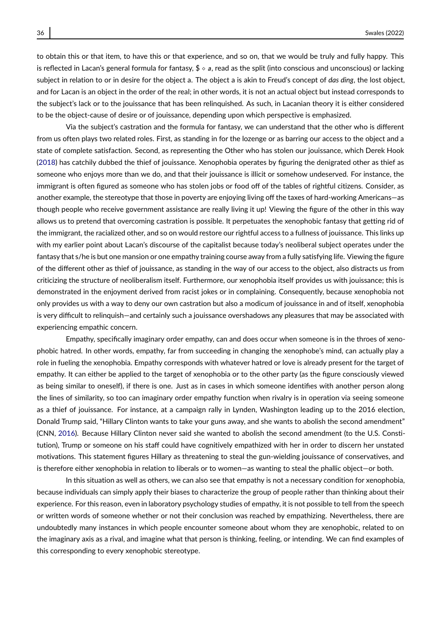to obtain this or that item, to have this or that experience, and so on, that we would be truly and fully happy. This is reflected in Lacan's general formula for fantasy,  $\frac{\pi}{4} \circ a$ , read as the split (into conscious and unconscious) or lacking subject in relation to or in desire for the object a. The object a is akin to Freud's concept of *das ding*, the lost object, and for Lacan is an object in the order of the real; in other words, it is not an actual object but instead corresponds to the subject's lack or to the jouissance that has been relinquished. As such, in Lacanian theory it is either considered to be the object-cause of desire or of jouissance, depending upon which perspective is emphasized.

Via the subject's castration and the formula for fantasy, we can understand that the other who is different from us often plays two related roles. First, as standing in for the lozenge or as barring our access to the object and a state of complete satisfaction. Second, as representing the Other who has stolen our jouissance, which Derek Hook [\(2018\)](#page-13-15) has catchily dubbed the thief of jouissance. Xenophobia operates by figuring the denigrated other as thief as someone who enjoys more than we do, and that their jouissance is illicit or somehow undeserved. For instance, the immigrant is often figured as someone who has stolen jobs or food off of the tables of rightful citizens. Consider, as another example, the stereotype that those in poverty are enjoying living off the taxes of hard-working Americans—as though people who receive government assistance are really living it up! Viewing the figure of the other in this way allows us to pretend that overcoming castration is possible. It perpetuates the xenophobic fantasy that getting rid of the immigrant, the racialized other, and so on would restore our rightful access to a fullness of jouissance. This links up with my earlier point about Lacan's discourse of the capitalist because today's neoliberal subject operates under the fantasy that s/he is but one mansion or one empathy training course away from a fully satisfying life. Viewing the figure of the different other as thief of jouissance, as standing in the way of our access to the object, also distracts us from criticizing the structure of neoliberalism itself. Furthermore, our xenophobia itself provides us with jouissance; this is demonstrated in the enjoyment derived from racist jokes or in complaining. Consequently, because xenophobia not only provides us with a way to deny our own castration but also a modicum of jouissance in and of itself, xenophobia is very difficult to relinquish—and certainly such a jouissance overshadows any pleasures that may be associated with experiencing empathic concern.

Empathy, specifically imaginary order empathy, can and does occur when someone is in the throes of xenophobic hatred. In other words, empathy, far from succeeding in changing the xenophobe's mind, can actually play a role in fueling the xenophobia. Empathy corresponds with whatever hatred or love is already present for the target of empathy. It can either be applied to the target of xenophobia or to the other party (as the figure consciously viewed as being similar to oneself), if there is one. Just as in cases in which someone identifies with another person along the lines of similarity, so too can imaginary order empathy function when rivalry is in operation via seeing someone as a thief of jouissance. For instance, at a campaign rally in Lynden, Washington leading up to the 2016 election, Donald Trump said, "Hillary Clinton wants to take your guns away, and she wants to abolish the second amendment" (CNN, [2016\)](#page-12-13). Because Hillary Clinton never said she wanted to abolish the second amendment (to the U.S. Constitution), Trump or someone on his staff could have cognitively empathized with her in order to discern her unstated motivations. This statement figures Hillary as threatening to steal the gun-wielding jouissance of conservatives, and is therefore either xenophobia in relation to liberals or to women—as wanting to steal the phallic object—or both.

In this situation as well as others, we can also see that empathy is not a necessary condition for xenophobia, because individuals can simply apply their biases to characterize the group of people rather than thinking about their experience. For this reason, even in laboratory psychology studies of empathy, it is not possible to tell from the speech or written words of someone whether or not their conclusion was reached by empathizing. Nevertheless, there are undoubtedly many instances in which people encounter someone about whom they are xenophobic, related to on the imaginary axis as a rival, and imagine what that person is thinking, feeling, or intending. We can find examples of this corresponding to every xenophobic stereotype.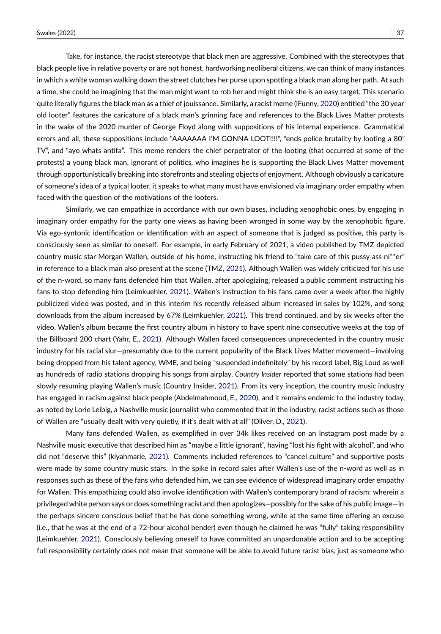Take, for instance, the racist stereotype that black men are aggressive. Combined with the stereotypes that black people live in relative poverty or are not honest, hardworking neoliberal citizens, we can think of many instances in which a white woman walking down the street clutches her purse upon spotting a black man along her path. At such a time, she could be imagining that the man might want to rob her and might think she is an easy target. This scenario quite literally figures the black man as a thief of jouissance. Similarly, a racist meme (iFunny, [2020\)](#page-13-16) entitled "the 30 year old looter" features the caricature of a black man's grinning face and references to the Black Lives Matter protests in the wake of the 2020 murder of George Floyd along with suppositions of his internal experience. Grammatical errors and all, these suppositions include "AAAAAAA I'M GONNA LOOT!!!!", "ends police brutality by looting a 80" TV", and "ayo whats antifa". This meme renders the chief perpetrator of the looting (that occurred at some of the protests) a young black man, ignorant of politics, who imagines he is supporting the Black Lives Matter movement through opportunistically breaking into storefronts and stealing objects of enjoyment. Although obviously a caricature of someone's idea of a typical looter, it speaks to what many must have envisioned via imaginary order empathy when faced with the question of the motivations of the looters.

Similarly, we can empathize in accordance with our own biases, including xenophobic ones, by engaging in imaginary order empathy for the party one views as having been wronged in some way by the xenophobic figure. Via ego-syntonic identification or identification with an aspect of someone that is judged as positive, this party is consciously seen as similar to oneself. For example, in early February of 2021, a video published by TMZ depicted country music star Morgan Wallen, outside of his home, instructing his friend to "take care of this pussy ass ni\*\*er" in reference to a black man also present at the scene (TMZ, [2021\)](#page-14-13). Although Wallen was widely criticized for his use of the n-word, so many fans defended him that Wallen, after apologizing, released a public comment instructing his fans to stop defending him (Leimkuehler, [2021\)](#page-13-17). Wallen's instruction to his fans came over a week after the highly publicized video was posted, and in this interim his recently released album increased in sales by 102%, and song downloads from the album increased by 67% (Leimkuehler, [2021\)](#page-13-17). This trend continued, and by six weeks after the video, Wallen's album became the first country album in history to have spent nine consecutive weeks at the top of the Billboard 200 chart (Yahr, E., [2021\)](#page-14-14). Although Wallen faced consequences unprecedented in the country music industry for his racial slur—presumably due to the current popularity of the Black Lives Matter movement—involving being dropped from his talent agency, WME, and being "suspended indefinitely" by his record label, Big Loud as well as hundreds of radio stations dropping his songs from airplay, *Country Insider* reported that some stations had been slowly resuming playing Wallen's music (Country Insider, [2021\)](#page-12-14). From its very inception, the country music industry has engaged in racism against black people (Abdelmahmoud, E., [2020\)](#page-12-15), and it remains endemic to the industry today, as noted by Lorie Leibig, a Nashville music journalist who commented that in the industry, racist actions such as those of Wallen are "usually dealt with very quietly, if it's dealt with at all" (Oliver, D., [2021\)](#page-13-18).

Many fans defended Wallen, as exemplified in over 34k likes received on an Instagram post made by a Nashville music executive that described him as "maybe a little ignorant", having "lost his fight with alcohol", and who did not "deserve this" (kiyahmarie, [2021\)](#page-13-19). Comments included references to "cancel culture" and supportive posts were made by some country music stars. In the spike in record sales after Wallen's use of the n-word as well as in responses such as these of the fans who defended him, we can see evidence of widespread imaginary order empathy for Wallen. This empathizing could also involve identification with Wallen's contemporary brand of racism: wherein a privileged white person says or does something racist and then apologizes—possibly for the sake of his public image—in the perhaps sincere conscious belief that he has done something wrong, while at the same time offering an excuse (i.e., that he was at the end of a 72-hour alcohol bender) even though he claimed he was "fully" taking responsibility (Leimkuehler, [2021\)](#page-13-17). Consciously believing oneself to have committed an unpardonable action and to be accepting full responsibility certainly does not mean that someone will be able to avoid future racist bias, just as someone who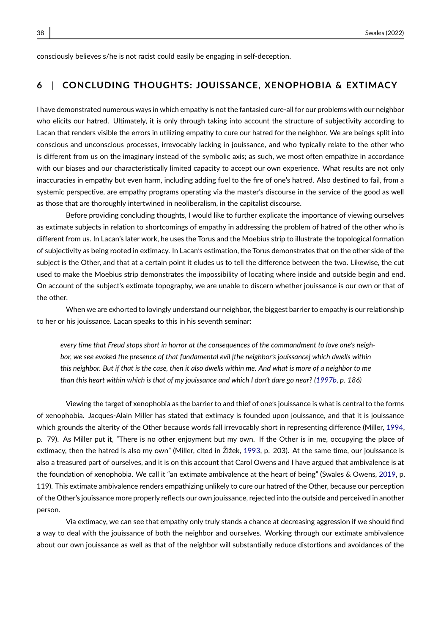consciously believes s/he is not racist could easily be engaging in self-deception.

#### **6** | **CONCLUDING THOUGHTS: JOUISSANCE, XENOPHOBIA & EXTIMACY**

I have demonstrated numerous ways in which empathy is not the fantasied cure-all for our problems with our neighbor who elicits our hatred. Ultimately, it is only through taking into account the structure of subjectivity according to Lacan that renders visible the errors in utilizing empathy to cure our hatred for the neighbor. We are beings split into conscious and unconscious processes, irrevocably lacking in jouissance, and who typically relate to the other who is different from us on the imaginary instead of the symbolic axis; as such, we most often empathize in accordance with our biases and our characteristically limited capacity to accept our own experience. What results are not only inaccuracies in empathy but even harm, including adding fuel to the fire of one's hatred. Also destined to fail, from a systemic perspective, are empathy programs operating via the master's discourse in the service of the good as well as those that are thoroughly intertwined in neoliberalism, in the capitalist discourse.

Before providing concluding thoughts, I would like to further explicate the importance of viewing ourselves as extimate subjects in relation to shortcomings of empathy in addressing the problem of hatred of the other who is different from us. In Lacan's later work, he uses the Torus and the Moebius strip to illustrate the topological formation of subjectivity as being rooted in extimacy. In Lacan's estimation, the Torus demonstrates that on the other side of the subject is the Other, and that at a certain point it eludes us to tell the difference between the two. Likewise, the cut used to make the Moebius strip demonstrates the impossibility of locating where inside and outside begin and end. On account of the subject's extimate topography, we are unable to discern whether jouissance is our own or that of the other.

When we are exhorted to lovingly understand our neighbor, the biggest barrier to empathy is our relationship to her or his jouissance. Lacan speaks to this in his seventh seminar:

*every time that Freud stops short in horror at the consequences of the commandment to love one's neighbor, we see evoked the presence of that fundamental evil [the neighbor's jouissance] which dwells within this neighbor. But if that is the case, then it also dwells within me. And what is more of a neighbor to me than this heart within which is that of my jouissance and which I don't dare go near? [\(1997b,](#page-13-2) p. 186)*

Viewing the target of xenophobia as the barrier to and thief of one's jouissance is what is central to the forms of xenophobia. Jacques-Alain Miller has stated that extimacy is founded upon jouissance, and that it is jouissance which grounds the alterity of the Other because words fall irrevocably short in representing difference (Miller, [1994,](#page-13-20) p. 79). As Miller put it, "There is no other enjoyment but my own. If the Other is in me, occupying the place of extimacy, then the hatred is also my own" (Miller, cited in Žižek, [1993,](#page-14-15) p. 203). At the same time, our jouissance is also a treasured part of ourselves, and it is on this account that Carol Owens and I have argued that ambivalence is at the foundation of xenophobia. We call it "an extimate ambivalence at the heart of being" (Swales & Owens, [2019,](#page-14-11) p. 119). This extimate ambivalence renders empathizing unlikely to cure our hatred of the Other, because our perception of the Other's jouissance more properly reflects our own jouissance, rejected into the outside and perceived in another person.

Via extimacy, we can see that empathy only truly stands a chance at decreasing aggression if we should find a way to deal with the jouissance of both the neighbor and ourselves. Working through our extimate ambivalence about our own jouissance as well as that of the neighbor will substantially reduce distortions and avoidances of the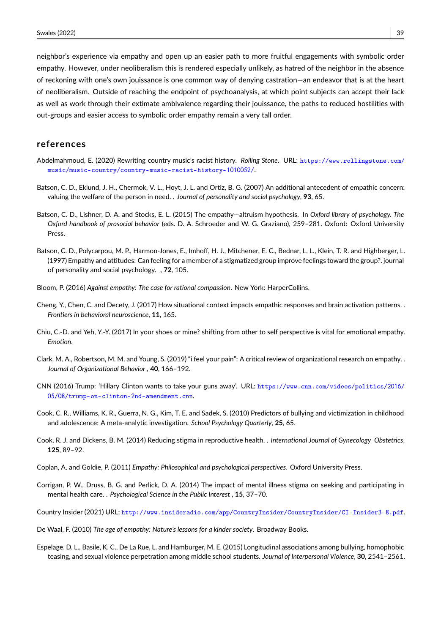neighbor's experience via empathy and open up an easier path to more fruitful engagements with symbolic order empathy. However, under neoliberalism this is rendered especially unlikely, as hatred of the neighbor in the absence of reckoning with one's own jouissance is one common way of denying castration—an endeavor that is at the heart of neoliberalism. Outside of reaching the endpoint of psychoanalysis, at which point subjects can accept their lack as well as work through their extimate ambivalence regarding their jouissance, the paths to reduced hostilities with out-groups and easier access to symbolic order empathy remain a very tall order.

#### **references**

- <span id="page-12-15"></span>Abdelmahmoud, E. (2020) Rewriting country music's racist history. *Rolling Stone*. URL: [https://www.rollingstone.com/](https://www.rollingstone.com/music/music-country/country-music-racist-history-1010052/) [music/music-country/country-music-racist-history-](https://www.rollingstone.com/music/music-country/country-music-racist-history-1010052/)1010052/.
- <span id="page-12-4"></span>Batson, C. D., Eklund, J. H., Chermok, V. L., Hoyt, J. L. and Ortiz, B. G. (2007) An additional antecedent of empathic concern: valuing the welfare of the person in need. . *Journal of personality and social psychology*, **93**, 65.
- <span id="page-12-0"></span>Batson, C. D., Lishner, D. A. and Stocks, E. L. (2015) The empathy—altruism hypothesis. In *Oxford library of psychology. The Oxford handbook of prosocial behavior* (eds. D. A. Schroeder and W. G. Graziano), 259–281. Oxford: Oxford University Press.
- <span id="page-12-12"></span>Batson, C. D., Polycarpou, M. P., Harmon-Jones, E., Imhoff, H. J., Mitchener, E. C., Bednar, L. L., Klein, T. R. and Highberger, L. (1997) Empathy and attitudes: Can feeling for a member of a stigmatized group improve feelings toward the group?. journal of personality and social psychology. , **72**, 105.
- <span id="page-12-3"></span>Bloom, P. (2016) *Against empathy: The case for rational compassion*. New York: HarperCollins.
- <span id="page-12-5"></span>Cheng, Y., Chen, C. and Decety, J. (2017) How situational context impacts empathic responses and brain activation patterns. . *Frontiers in behavioral neuroscience*, **11**, 165.
- <span id="page-12-7"></span>Chiu, C.-D. and Yeh, Y.-Y. (2017) In your shoes or mine? shifting from other to self perspective is vital for emotional empathy. *Emotion*.
- <span id="page-12-6"></span>Clark, M. A., Robertson, M. M. and Young, S. (2019) "i feel your pain": A critical review of organizational research on empathy. . *Journal of Organizational Behavior* , **40**, 166–192.
- <span id="page-12-13"></span>CNN (2016) Trump: 'Hillary Clinton wants to take your guns away'. URL: [https://www.cnn.com/videos/politics/](https://www.cnn.com/videos/politics/2016/05/08/trump-on-clinton-2nd-amendment.cnn)2016/ 05/08[/trump-on-clinton-](https://www.cnn.com/videos/politics/2016/05/08/trump-on-clinton-2nd-amendment.cnn)2nd-amendment.cnn.
- <span id="page-12-8"></span>Cook, C. R., Williams, K. R., Guerra, N. G., Kim, T. E. and Sadek, S. (2010) Predictors of bullying and victimization in childhood and adolescence: A meta-analytic investigation. *School Psychology Quarterly*, **25**, 65.
- <span id="page-12-11"></span>Cook, R. J. and Dickens, B. M. (2014) Reducing stigma in reproductive health. . *International Journal of Gynecology Obstetrics*, **125**, 89–92.
- <span id="page-12-2"></span>Coplan, A. and Goldie, P. (2011) *Empathy: Philosophical and psychological perspectives*. Oxford University Press.
- <span id="page-12-10"></span>Corrigan, P. W., Druss, B. G. and Perlick, D. A. (2014) The impact of mental illness stigma on seeking and participating in mental health care. . *Psychological Science in the Public Interest* , **15**, 37–70.
- <span id="page-12-14"></span>Country Insider (2021) URL: [http://www.insideradio.com/app/CountryInsider/CountryInsider/CI-Insider](http://www.insideradio.com/app/CountryInsider/CountryInsider/CI-Insider3-8.pdf)3-8.pdf.
- <span id="page-12-1"></span>De Waal, F. (2010) *The age of empathy: Nature's lessons for a kinder society*. Broadway Books.
- <span id="page-12-9"></span>Espelage, D. L., Basile, K. C., De La Rue, L. and Hamburger, M. E. (2015) Longitudinal associations among bullying, homophobic teasing, and sexual violence perpetration among middle school students. *Journal of Interpersonal Violence*, **30**, 2541–2561.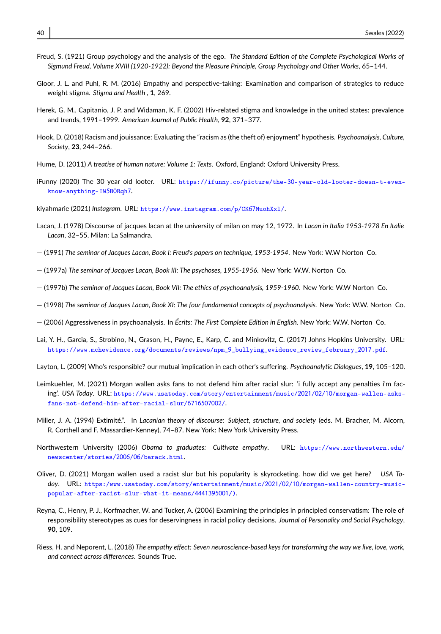- <span id="page-13-9"></span>Freud, S. (1921) Group psychology and the analysis of the ego. *The Standard Edition of the Complete Psychological Works of Sigmund Freud, Volume XVIII (1920-1922): Beyond the Pleasure Principle, Group Psychology and Other Works*, 65–144.
- <span id="page-13-5"></span>Gloor, J. L. and Puhl, R. M. (2016) Empathy and perspective-taking: Examination and comparison of strategies to reduce weight stigma. *Stigma and Health* , **1**, 269.
- <span id="page-13-13"></span>Herek, G. M., Capitanio, J. P. and Widaman, K. F. (2002) Hiv-related stigma and knowledge in the united states: prevalence and trends, 1991–1999. *American Journal of Public Health*, **92**, 371–377.
- <span id="page-13-15"></span>Hook, D. (2018) Racism and jouissance: Evaluating the "racism as (the theft of) enjoyment" hypothesis. *Psychoanalysis, Culture, Society*, **23**, 244–266.
- <span id="page-13-4"></span>Hume, D. (2011) *A treatise of human nature: Volume 1: Texts*. Oxford, England: Oxford University Press.
- <span id="page-13-16"></span>iFunny (2020) The 30 year old looter. URL: https://ifunny.co/picture/the-30[-year-old-looter-doesn-t-even](https://ifunny.co/picture/the-30-year-old-looter-doesn-t-even-know-anything-IW5B0Rqh7)[know-anything-IW](https://ifunny.co/picture/the-30-year-old-looter-doesn-t-even-know-anything-IW5B0Rqh7)5B0Rqh7.

<span id="page-13-19"></span>kiyahmarie (2021) *Instagram*. URL: [https://www.instagram.com/p/CK](https://www.instagram.com/p/CK67MuohXxl/)67MuohXxl/.

- <span id="page-13-3"></span>Lacan, J. (1978) Discourse of jacques lacan at the university of milan on may 12, 1972. In *Lacan in Italia 1953-1978 En Italie Lacan*, 32–55. Milan: La Salmandra.
- <span id="page-13-10"></span>— (1991) *The seminar of Jacques Lacan, Book I: Freud's papers on technique, 1953-1954*. New York: W.W Norton Co.
- <span id="page-13-7"></span>— (1997a) *The seminar of Jacques Lacan, Book III: The psychoses, 1955-1956*. New York: W.W. Norton Co.
- <span id="page-13-2"></span>— (1997b) *The seminar of Jacques Lacan, Book VII: The ethics of psychoanalysis, 1959-1960*. New York: W.W Norton Co.
- <span id="page-13-8"></span>— (1998) *The seminar of Jacques Lacan, Book XI: The four fundamental concepts of psychoanalysis.* New York: W.W. Norton Co.
- <span id="page-13-11"></span>— (2006) Aggressiveness in psychoanalysis. In *Écrits: The First Complete Edition in English*. New York: W.W. Norton Co.
- <span id="page-13-6"></span>Lai, Y. H., Garcia, S., Strobino, N., Grason, H., Payne, E., Karp, C. and Minkovitz, C. (2017) Johns Hopkins University. URL: [https://www.mchevidence.org/documents/reviews/npm\\_](https://www.mchevidence.org/documents/reviews/npm_9_bullying_evidence_review_february_2017.pdf)9\_bullying\_evidence\_review\_february\_2017.pdf.
- <span id="page-13-14"></span>Layton, L. (2009) Who's responsible? our mutual implication in each other's suffering. *Psychoanalytic Dialogues*, **19**, 105–120.
- <span id="page-13-17"></span>Leimkuehler, M. (2021) Morgan wallen asks fans to not defend him after racial slur: 'i fully accept any penalties i'm facing'. *USA Today*. URL: [https://www.usatoday.com/story/entertainment/music/](https://www.usatoday.com/story/entertainment/music/2021/02/10/morgan-wallen-asks-fans-not-defend-him-after-racial-slur/6716507002/)2021/02/10/morgan-wallen-asks[fans-not-defend-him-after-racial-slur/](https://www.usatoday.com/story/entertainment/music/2021/02/10/morgan-wallen-asks-fans-not-defend-him-after-racial-slur/6716507002/)6716507002/.
- <span id="page-13-20"></span>Miller, J. A. (1994) Extimité.". In *Lacanian theory of discourse: Subject, structure, and society* (eds. M. Bracher, M. Alcorn, R. Corthell and F. Massardier-Kenney), 74–87. New York: New York University Press.
- <span id="page-13-0"></span>Northwestern University (2006) *Obama to graduates: Cultivate empathy*. URL: [https://www.northwestern.edu/](https://www.northwestern.edu/newscenter/stories/2006/06/barack.html) [newscenter/stories/](https://www.northwestern.edu/newscenter/stories/2006/06/barack.html)2006/06/barack.html.
- <span id="page-13-18"></span>Oliver, D. (2021) Morgan wallen used a racist slur but his popularity is skyrocketing. how did we get here? *USA Today*. URL: [https:/www.usatoday.com/story/entertainment/music/](https:/www.usatoday.com/story/entertainment/music/2021/02/10/morgan-wallen-country-music-popular-after-racist-slur-what-it-means/4441395001/))2021/02/10/morgan-wallen-country-music[popular-after-racist-slur-what-it-means/](https:/www.usatoday.com/story/entertainment/music/2021/02/10/morgan-wallen-country-music-popular-after-racist-slur-what-it-means/4441395001/))4441395001/).
- <span id="page-13-12"></span>Reyna, C., Henry, P. J., Korfmacher, W. and Tucker, A. (2006) Examining the principles in principled conservatism: The role of responsibility stereotypes as cues for deservingness in racial policy decisions. *Journal of Personality and Social Psychology*, **90**, 109.
- <span id="page-13-1"></span>Riess, H. and Neporent, L. (2018) *The empathy effect: Seven neuroscience-based keys for transforming the way we live, love, work, and connect across differences*. Sounds True.